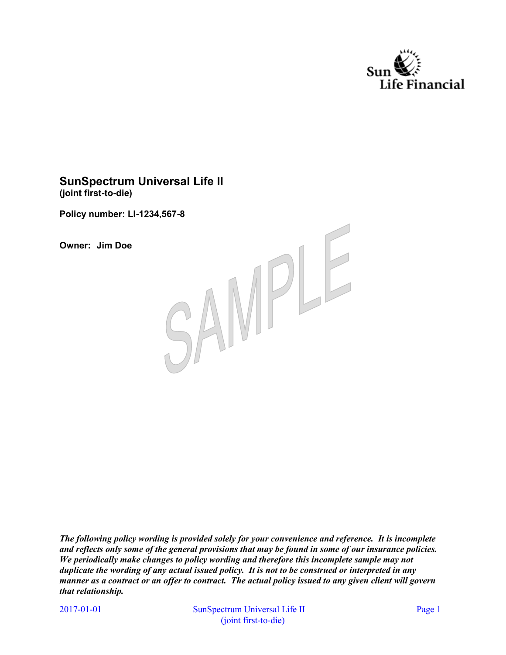

## **SunSpectrum Universal Life II (joint first-to-die)**

**Policy number: LI-1234,567-8**

**Owner: Jim Doe**



*The following policy wording is provided solely for your convenience and reference. It is incomplete and reflects only some of the general provisions that may be found in some of our insurance policies. We periodically make changes to policy wording and therefore this incomplete sample may not duplicate the wording of any actual issued policy. It is not to be construed or interpreted in any manner as a contract or an offer to contract. The actual policy issued to any given client will govern that relationship.*

2017-01-01 SunSpectrum Universal Life II Page 1 (joint first-to-die)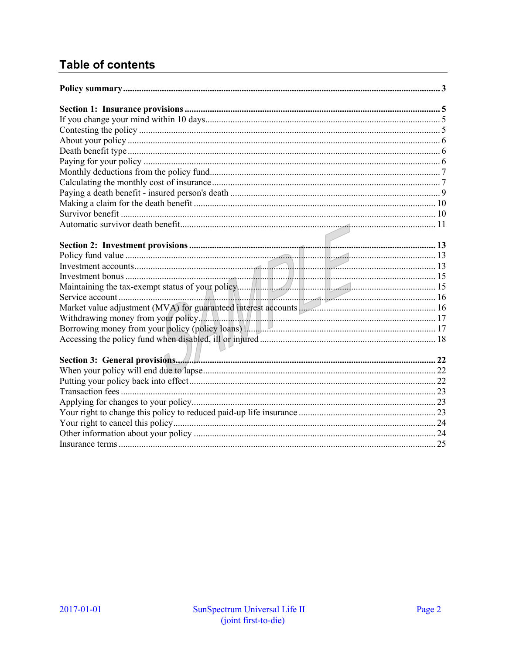# **Table of contents**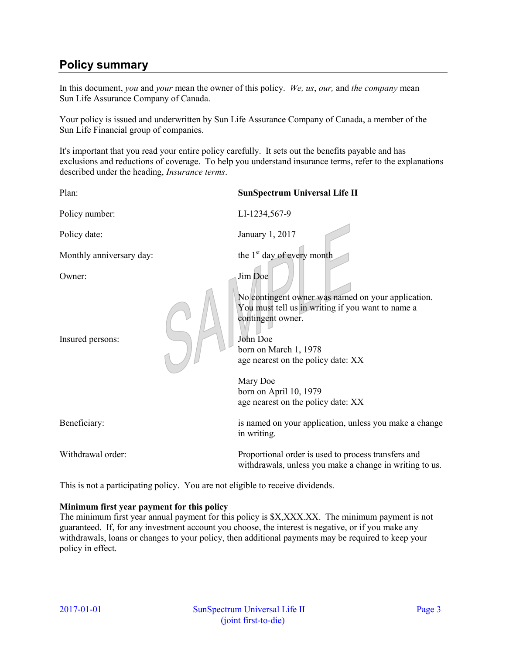# **Policy summary**

In this document, *you* and *your* mean the owner of this policy. *We, us*, *our,* and *the company* mean Sun Life Assurance Company of Canada.

Your policy is issued and underwritten by Sun Life Assurance Company of Canada, a member of the Sun Life Financial group of companies.

It's important that you read your entire policy carefully. It sets out the benefits payable and has exclusions and reductions of coverage. To help you understand insurance terms, refer to the explanations described under the heading, *Insurance terms*.

Plan: **SunSpectrum Universal Life II** Policy number: LI-1234,567-9 Policy date: January 1, 2017 Monthly anniversary day: the  $1<sup>st</sup>$  day of every month Owner: Jim Doe No contingent owner was named on your application. You must tell us in writing if you want to name a contingent owner. Insured persons: John Doe born on March 1, 1978 age nearest on the policy date: XX Mary Doe born on April 10, 1979 age nearest on the policy date: XX Beneficiary: is named on your application, unless you make a change in writing. Withdrawal order: Proportional order is used to process transfers and withdrawals, unless you make a change in writing to us.

This is not a participating policy. You are not eligible to receive dividends.

#### **Minimum first year payment for this policy**

The minimum first year annual payment for this policy is \$X,XXX.XX. The minimum payment is not guaranteed. If, for any investment account you choose, the interest is negative, or if you make any withdrawals, loans or changes to your policy, then additional payments may be required to keep your policy in effect.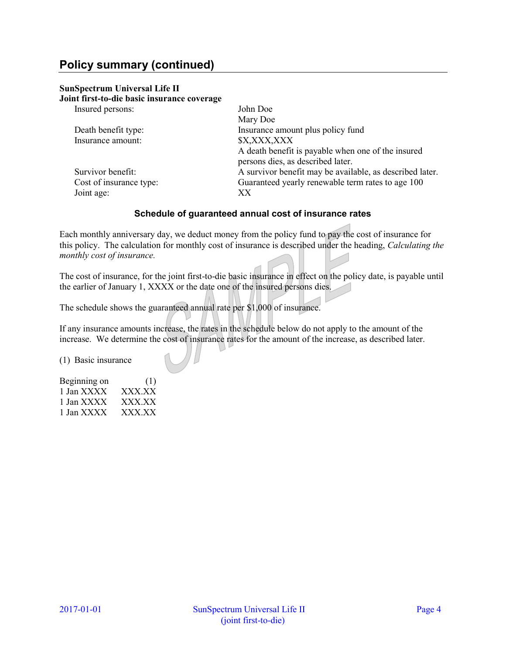# **Policy summary (continued)**

#### **SunSpectrum Universal Life II Joint first-to-die basic insurance coverage**

| nt iirst-to-qie dasic insurance coverage |                                                          |
|------------------------------------------|----------------------------------------------------------|
| Insured persons:                         | John Doe                                                 |
|                                          | Mary Doe                                                 |
| Death benefit type:                      | Insurance amount plus policy fund                        |
| Insurance amount:                        | \$X,XXX,XXX                                              |
|                                          | A death benefit is payable when one of the insured       |
|                                          | persons dies, as described later.                        |
| Survivor benefit:                        | A survivor benefit may be available, as described later. |
| Cost of insurance type:                  | Guaranteed yearly renewable term rates to age 100        |
| Joint age:                               | XX                                                       |
|                                          |                                                          |

### **Schedule of guaranteed annual cost of insurance rates**

Each monthly anniversary day, we deduct money from the policy fund to pay the cost of insurance for this policy. The calculation for monthly cost of insurance is described under the heading, *Calculating the monthly cost of insurance.*

The cost of insurance, for the joint first-to-die basic insurance in effect on the policy date, is payable until the earlier of January 1, XXXX or the date one of the insured persons dies.

The schedule shows the guaranteed annual rate per \$1,000 of insurance.

If any insurance amounts increase, the rates in the schedule below do not apply to the amount of the increase. We determine the cost of insurance rates for the amount of the increase, as described later.

(1) Basic insurance

| Beginning on | (1)    |
|--------------|--------|
| 1 Jan XXXX   | XXX.XX |
| 1 Jan XXXX   | XXX.XX |
| 1 Jan XXXX   | XXX.XX |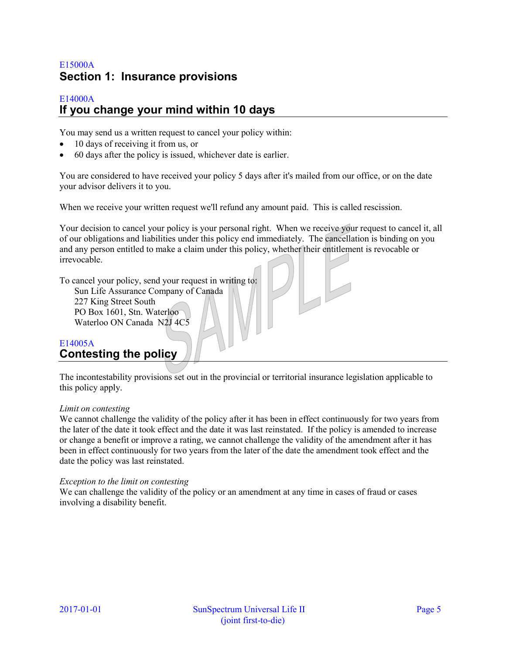# E15000A **Section 1: Insurance provisions**

## E14000A **If you change your mind within 10 days**

You may send us a written request to cancel your policy within:

- 10 days of receiving it from us, or
- 60 days after the policy is issued, whichever date is earlier.

You are considered to have received your policy 5 days after it's mailed from our office, or on the date your advisor delivers it to you.

When we receive your written request we'll refund any amount paid. This is called rescission.

Your decision to cancel your policy is your personal right. When we receive your request to cancel it, all of our obligations and liabilities under this policy end immediately. The cancellation is binding on you and any person entitled to make a claim under this policy, whether their entitlement is revocable or irrevocable.

To cancel your policy, send your request in writing to: Sun Life Assurance Company of Canada 227 King Street South PO Box 1601, Stn. Waterloo Waterloo ON Canada N2J 4C5

## E14005A **Contesting the policy**

The incontestability provisions set out in the provincial or territorial insurance legislation applicable to this policy apply.

#### *Limit on contesting*

We cannot challenge the validity of the policy after it has been in effect continuously for two years from the later of the date it took effect and the date it was last reinstated. If the policy is amended to increase or change a benefit or improve a rating, we cannot challenge the validity of the amendment after it has been in effect continuously for two years from the later of the date the amendment took effect and the date the policy was last reinstated.

#### *Exception to the limit on contesting*

We can challenge the validity of the policy or an amendment at any time in cases of fraud or cases involving a disability benefit.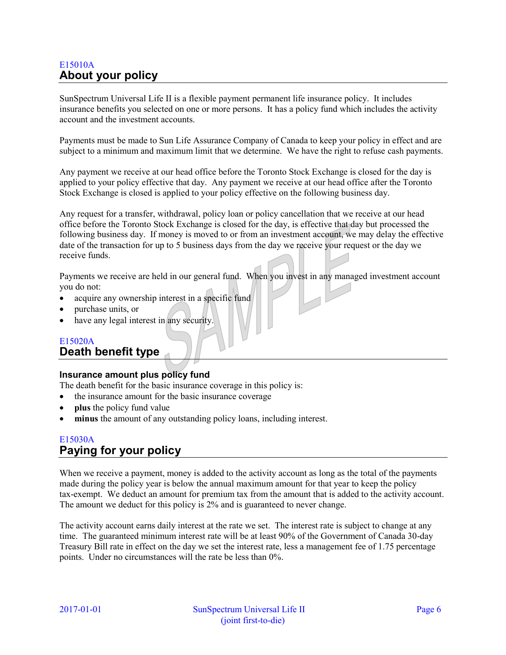## E15010A **About your policy**

SunSpectrum Universal Life II is a flexible payment permanent life insurance policy. It includes insurance benefits you selected on one or more persons. It has a policy fund which includes the activity account and the investment accounts.

Payments must be made to Sun Life Assurance Company of Canada to keep your policy in effect and are subject to a minimum and maximum limit that we determine. We have the right to refuse cash payments.

Any payment we receive at our head office before the Toronto Stock Exchange is closed for the day is applied to your policy effective that day. Any payment we receive at our head office after the Toronto Stock Exchange is closed is applied to your policy effective on the following business day.

Any request for a transfer, withdrawal, policy loan or policy cancellation that we receive at our head office before the Toronto Stock Exchange is closed for the day, is effective that day but processed the following business day. If money is moved to or from an investment account, we may delay the effective date of the transaction for up to 5 business days from the day we receive your request or the day we receive funds.

Payments we receive are held in our general fund. When you invest in any managed investment account you do not:

- acquire any ownership interest in a specific fund
- purchase units, or
- have any legal interest in any security.

## E15020A

## **Death benefit type**

#### **Insurance amount plus policy fund**

The death benefit for the basic insurance coverage in this policy is:

- the insurance amount for the basic insurance coverage
- **plus** the policy fund value
- **minus** the amount of any outstanding policy loans, including interest.

## E15030A **Paying for your policy**

When we receive a payment, money is added to the activity account as long as the total of the payments made during the policy year is below the annual maximum amount for that year to keep the policy tax-exempt. We deduct an amount for premium tax from the amount that is added to the activity account. The amount we deduct for this policy is 2% and is guaranteed to never change.

The activity account earns daily interest at the rate we set. The interest rate is subject to change at any time. The guaranteed minimum interest rate will be at least 90% of the Government of Canada 30-day Treasury Bill rate in effect on the day we set the interest rate, less a management fee of 1.75 percentage points. Under no circumstances will the rate be less than 0%.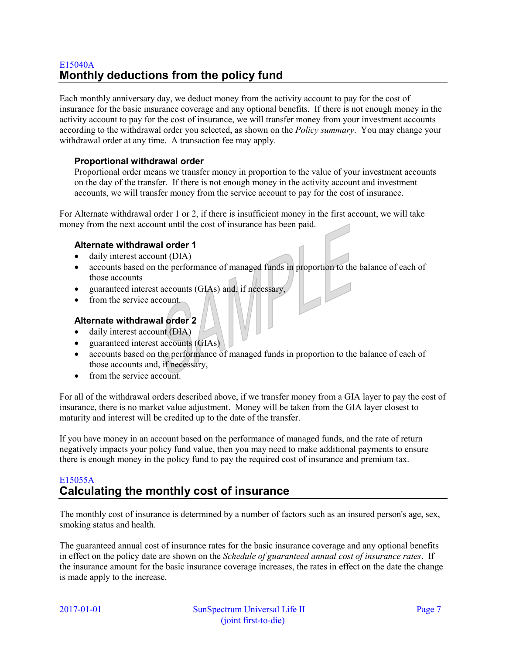## E15040A **Monthly deductions from the policy fund**

Each monthly anniversary day, we deduct money from the activity account to pay for the cost of insurance for the basic insurance coverage and any optional benefits. If there is not enough money in the activity account to pay for the cost of insurance, we will transfer money from your investment accounts according to the withdrawal order you selected, as shown on the *Policy summary*. You may change your withdrawal order at any time. A transaction fee may apply.

### **Proportional withdrawal order**

Proportional order means we transfer money in proportion to the value of your investment accounts on the day of the transfer. If there is not enough money in the activity account and investment accounts, we will transfer money from the service account to pay for the cost of insurance.

For Alternate withdrawal order 1 or 2, if there is insufficient money in the first account, we will take money from the next account until the cost of insurance has been paid.

### **Alternate withdrawal order 1**

- daily interest account (DIA)
- accounts based on the performance of managed funds in proportion to the balance of each of those accounts
- guaranteed interest accounts (GIAs) and, if necessary,
- from the service account.

## **Alternate withdrawal order 2**

- daily interest account (DIA)
- guaranteed interest accounts (GIAs)
- accounts based on the performance of managed funds in proportion to the balance of each of those accounts and, if necessary,
- from the service account.

For all of the withdrawal orders described above, if we transfer money from a GIA layer to pay the cost of insurance, there is no market value adjustment. Money will be taken from the GIA layer closest to maturity and interest will be credited up to the date of the transfer.

If you have money in an account based on the performance of managed funds, and the rate of return negatively impacts your policy fund value, then you may need to make additional payments to ensure there is enough money in the policy fund to pay the required cost of insurance and premium tax.

## E15055A **Calculating the monthly cost of insurance**

The monthly cost of insurance is determined by a number of factors such as an insured person's age, sex, smoking status and health.

The guaranteed annual cost of insurance rates for the basic insurance coverage and any optional benefits in effect on the policy date are shown on the *Schedule of guaranteed annual cost of insurance rates*. If the insurance amount for the basic insurance coverage increases, the rates in effect on the date the change is made apply to the increase.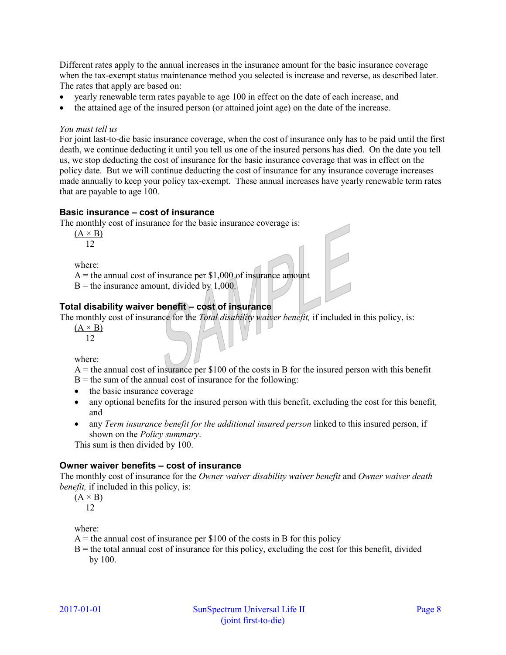Different rates apply to the annual increases in the insurance amount for the basic insurance coverage when the tax-exempt status maintenance method you selected is increase and reverse, as described later. The rates that apply are based on:

- yearly renewable term rates payable to age 100 in effect on the date of each increase, and
- the attained age of the insured person (or attained joint age) on the date of the increase.

#### *You must tell us*

For joint last-to-die basic insurance coverage, when the cost of insurance only has to be paid until the first death, we continue deducting it until you tell us one of the insured persons has died. On the date you tell us, we stop deducting the cost of insurance for the basic insurance coverage that was in effect on the policy date. But we will continue deducting the cost of insurance for any insurance coverage increases made annually to keep your policy tax-exempt. These annual increases have yearly renewable term rates that are payable to age 100.

#### **Basic insurance – cost of insurance**

The monthly cost of insurance for the basic insurance coverage is:

 $(A \times B)$ 

12

where:

 $A =$  the annual cost of insurance per \$1,000 of insurance amount

 $B =$  the insurance amount, divided by 1,000.

## **Total disability waiver benefit – cost of insurance**

The monthly cost of insurance for the *Total disability waiver benefit,* if included in this policy, is:

 $(A \times B)$ 12

where:

 $A =$  the annual cost of insurance per \$100 of the costs in B for the insured person with this benefit

 $B =$  the sum of the annual cost of insurance for the following:

- the basic insurance coverage
- any optional benefits for the insured person with this benefit, excluding the cost for this benefit*,* and
- any *Term insurance benefit for the additional insured person* linked to this insured person, if shown on the *Policy summary*.

This sum is then divided by 100.

#### **Owner waiver benefits – cost of insurance**

The monthly cost of insurance for the *Owner waiver disability waiver benefit* and *Owner waiver death benefit,* if included in this policy, is:

 $(A \times B)$ 12

where:

 $A =$  the annual cost of insurance per \$100 of the costs in B for this policy

 $B =$  the total annual cost of insurance for this policy, excluding the cost for this benefit, divided by 100.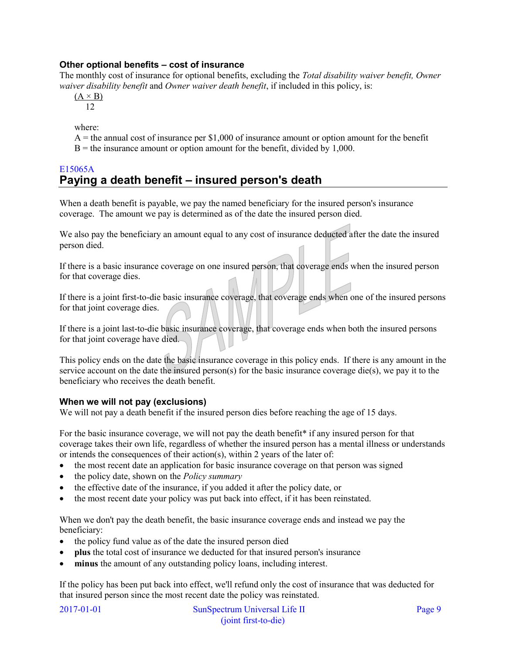## **Other optional benefits – cost of insurance**

The monthly cost of insurance for optional benefits, excluding the *Total disability waiver benefit, Owner waiver disability benefit* and *Owner waiver death benefit*, if included in this policy, is:

 $(A \times B)$ 12

where:

 $A =$  the annual cost of insurance per \$1,000 of insurance amount or option amount for the benefit  $B =$  the insurance amount or option amount for the benefit, divided by 1,000.

## E15065A **Paying a death benefit – insured person's death**

When a death benefit is payable, we pay the named beneficiary for the insured person's insurance coverage. The amount we pay is determined as of the date the insured person died.

We also pay the beneficiary an amount equal to any cost of insurance deducted after the date the insured person died.

If there is a basic insurance coverage on one insured person, that coverage ends when the insured person for that coverage dies.

If there is a joint first-to-die basic insurance coverage, that coverage ends when one of the insured persons for that joint coverage dies.

If there is a joint last-to-die basic insurance coverage, that coverage ends when both the insured persons for that joint coverage have died.

This policy ends on the date the basic insurance coverage in this policy ends. If there is any amount in the service account on the date the insured person(s) for the basic insurance coverage die(s), we pay it to the beneficiary who receives the death benefit.

## **When we will not pay (exclusions)**

We will not pay a death benefit if the insured person dies before reaching the age of 15 days.

For the basic insurance coverage, we will not pay the death benefit\* if any insured person for that coverage takes their own life, regardless of whether the insured person has a mental illness or understands or intends the consequences of their action(s), within 2 years of the later of:

- the most recent date an application for basic insurance coverage on that person was signed
- the policy date, shown on the *Policy summary*
- the effective date of the insurance, if you added it after the policy date, or
- the most recent date your policy was put back into effect, if it has been reinstated.

When we don't pay the death benefit, the basic insurance coverage ends and instead we pay the beneficiary:

- the policy fund value as of the date the insured person died
- **plus** the total cost of insurance we deducted for that insured person's insurance
- **minus** the amount of any outstanding policy loans, including interest.

If the policy has been put back into effect, we'll refund only the cost of insurance that was deducted for that insured person since the most recent date the policy was reinstated.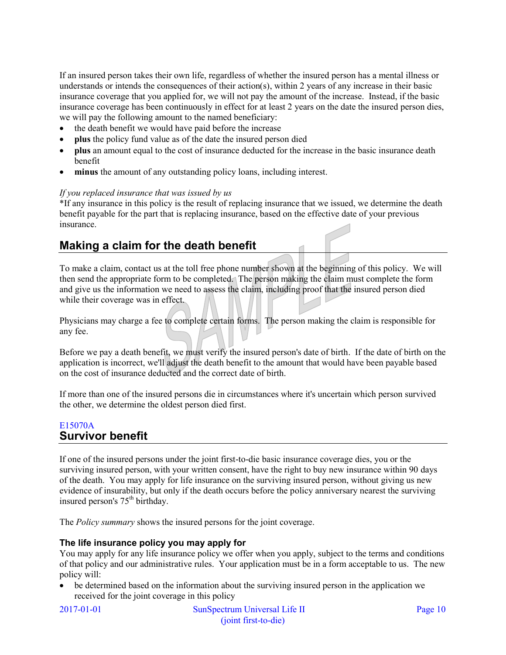If an insured person takes their own life, regardless of whether the insured person has a mental illness or understands or intends the consequences of their action(s), within 2 years of any increase in their basic insurance coverage that you applied for, we will not pay the amount of the increase. Instead, if the basic insurance coverage has been continuously in effect for at least 2 years on the date the insured person dies, we will pay the following amount to the named beneficiary:

- the death benefit we would have paid before the increase
- **plus** the policy fund value as of the date the insured person died
- **plus** an amount equal to the cost of insurance deducted for the increase in the basic insurance death benefit
- **minus** the amount of any outstanding policy loans, including interest.

#### *If you replaced insurance that was issued by us*

\*If any insurance in this policy is the result of replacing insurance that we issued, we determine the death benefit payable for the part that is replacing insurance, based on the effective date of your previous insurance.

# **Making a claim for the death benefit**

To make a claim, contact us at the toll free phone number shown at the beginning of this policy. We will then send the appropriate form to be completed. The person making the claim must complete the form and give us the information we need to assess the claim, including proof that the insured person died while their coverage was in effect.

Physicians may charge a fee to complete certain forms. The person making the claim is responsible for any fee.

Before we pay a death benefit, we must verify the insured person's date of birth. If the date of birth on the application is incorrect, we'll adjust the death benefit to the amount that would have been payable based on the cost of insurance deducted and the correct date of birth.

If more than one of the insured persons die in circumstances where it's uncertain which person survived the other, we determine the oldest person died first.

## E15070A **Survivor benefit**

If one of the insured persons under the joint first-to-die basic insurance coverage dies, you or the surviving insured person, with your written consent, have the right to buy new insurance within 90 days of the death. You may apply for life insurance on the surviving insured person, without giving us new evidence of insurability, but only if the death occurs before the policy anniversary nearest the surviving insured person's  $75<sup>th</sup>$  birthday.

The *Policy summary* shows the insured persons for the joint coverage.

#### **The life insurance policy you may apply for**

You may apply for any life insurance policy we offer when you apply, subject to the terms and conditions of that policy and our administrative rules. Your application must be in a form acceptable to us. The new policy will:

 be determined based on the information about the surviving insured person in the application we received for the joint coverage in this policy

2017-01-01 SunSpectrum Universal Life II Page 10 (joint first-to-die)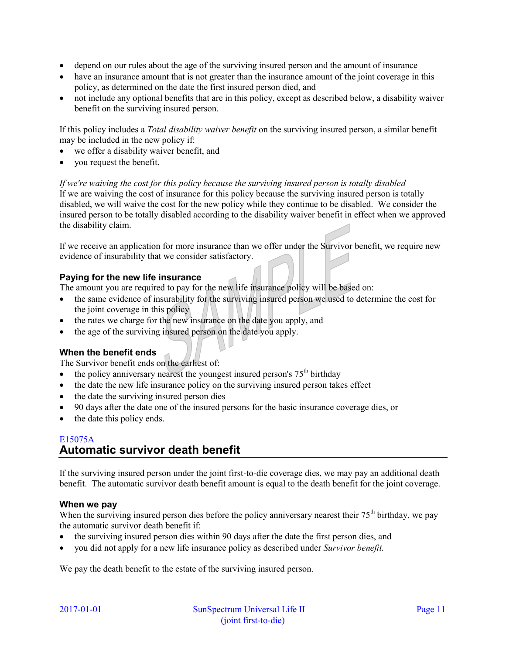- depend on our rules about the age of the surviving insured person and the amount of insurance
- have an insurance amount that is not greater than the insurance amount of the joint coverage in this policy, as determined on the date the first insured person died, and
- not include any optional benefits that are in this policy, except as described below, a disability waiver benefit on the surviving insured person.

If this policy includes a *Total disability waiver benefit* on the surviving insured person, a similar benefit may be included in the new policy if:

- we offer a disability waiver benefit, and
- you request the benefit.

*If we're waiving the cost for this policy because the surviving insured person is totally disabled* If we are waiving the cost of insurance for this policy because the surviving insured person is totally disabled, we will waive the cost for the new policy while they continue to be disabled. We consider the insured person to be totally disabled according to the disability waiver benefit in effect when we approved the disability claim.

If we receive an application for more insurance than we offer under the Survivor benefit, we require new evidence of insurability that we consider satisfactory.

## **Paying for the new life insurance**

The amount you are required to pay for the new life insurance policy will be based on:

- the same evidence of insurability for the surviving insured person we used to determine the cost for the joint coverage in this policy
- the rates we charge for the new insurance on the date you apply, and
- the age of the surviving insured person on the date you apply.

## **When the benefit ends**

The Survivor benefit ends on the earliest of:

- the policy anniversary nearest the youngest insured person's  $75<sup>th</sup>$  birthday
- the date the new life insurance policy on the surviving insured person takes effect
- the date the surviving insured person dies
- 90 days after the date one of the insured persons for the basic insurance coverage dies, or
- the date this policy ends.

## E15075A **Automatic survivor death benefit**

If the surviving insured person under the joint first-to-die coverage dies, we may pay an additional death benefit. The automatic survivor death benefit amount is equal to the death benefit for the joint coverage.

#### **When we pay**

When the surviving insured person dies before the policy anniversary nearest their  $75<sup>th</sup>$  birthday, we pay the automatic survivor death benefit if:

- the surviving insured person dies within 90 days after the date the first person dies, and
- you did not apply for a new life insurance policy as described under *Survivor benefit.*

We pay the death benefit to the estate of the surviving insured person.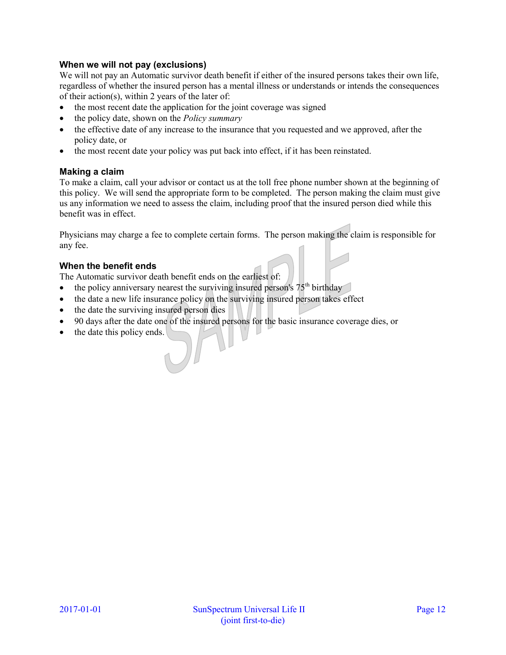## **When we will not pay (exclusions)**

We will not pay an Automatic survivor death benefit if either of the insured persons takes their own life, regardless of whether the insured person has a mental illness or understands or intends the consequences of their action(s), within 2 years of the later of:

- the most recent date the application for the joint coverage was signed
- the policy date, shown on the *Policy summary*
- the effective date of any increase to the insurance that you requested and we approved, after the policy date, or
- the most recent date your policy was put back into effect, if it has been reinstated.

### **Making a claim**

To make a claim, call your advisor or contact us at the toll free phone number shown at the beginning of this policy. We will send the appropriate form to be completed. The person making the claim must give us any information we need to assess the claim, including proof that the insured person died while this benefit was in effect.

Physicians may charge a fee to complete certain forms. The person making the claim is responsible for any fee.

### **When the benefit ends**

The Automatic survivor death benefit ends on the earliest of:

- the policy anniversary nearest the surviving insured person's  $75<sup>th</sup>$  birthday
- the date a new life insurance policy on the surviving insured person takes effect
- the date the surviving insured person dies
- 90 days after the date one of the insured persons for the basic insurance coverage dies, or
- $\bullet$  the date this policy ends.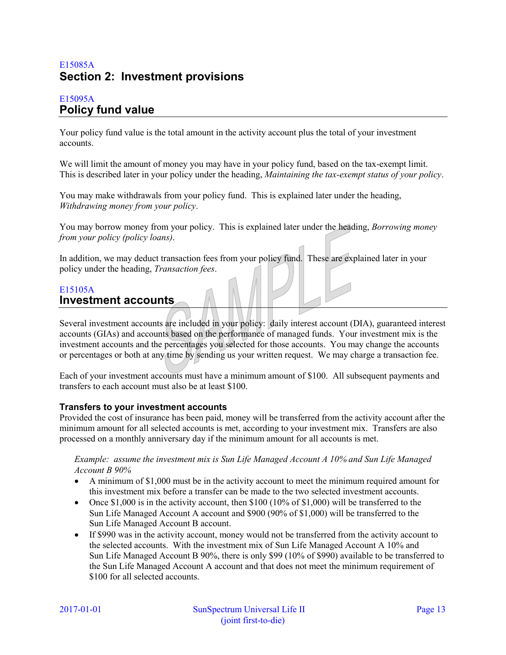## E15085A **Section 2: Investment provisions**

## E15095A **Policy fund value**

Your policy fund value is the total amount in the activity account plus the total of your investment accounts.

We will limit the amount of money you may have in your policy fund, based on the tax-exempt limit. This is described later in your policy under the heading, *Maintaining the tax-exempt status of your policy*.

You may make withdrawals from your policy fund. This is explained later under the heading, *Withdrawing money from your policy*.

You may borrow money from your policy. This is explained later under the heading, *Borrowing money from your policy (policy loans)*.

In addition, we may deduct transaction fees from your policy fund. These are explained later in your policy under the heading, *Transaction fees*.

## E15105A **Investment accounts**

Several investment accounts are included in your policy: daily interest account (DIA), guaranteed interest accounts (GIAs) and accounts based on the performance of managed funds. Your investment mix is the investment accounts and the percentages you selected for those accounts. You may change the accounts or percentages or both at any time by sending us your written request. We may charge a transaction fee.

Each of your investment accounts must have a minimum amount of \$100. All subsequent payments and transfers to each account must also be at least \$100.

## **Transfers to your investment accounts**

Provided the cost of insurance has been paid, money will be transferred from the activity account after the minimum amount for all selected accounts is met, according to your investment mix. Transfers are also processed on a monthly anniversary day if the minimum amount for all accounts is met.

*Example: assume the investment mix is Sun Life Managed Account A 10% and Sun Life Managed Account B 90%*

- A minimum of \$1,000 must be in the activity account to meet the minimum required amount for this investment mix before a transfer can be made to the two selected investment accounts.
- Once \$1,000 is in the activity account, then  $$100 (10\% \text{ of } $1,000)$  will be transferred to the Sun Life Managed Account A account and \$900 (90% of \$1,000) will be transferred to the Sun Life Managed Account B account.
- If \$990 was in the activity account, money would not be transferred from the activity account to the selected accounts. With the investment mix of Sun Life Managed Account A 10% and Sun Life Managed Account B 90%, there is only \$99 (10% of \$990) available to be transferred to the Sun Life Managed Account A account and that does not meet the minimum requirement of \$100 for all selected accounts.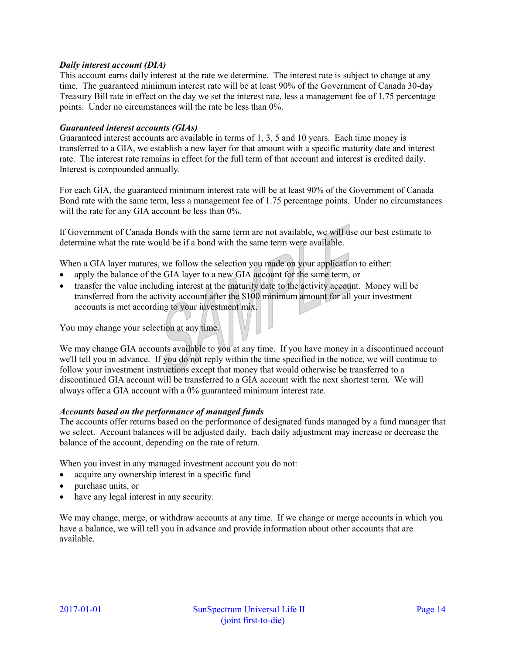#### *Daily interest account (DIA)*

This account earns daily interest at the rate we determine. The interest rate is subject to change at any time. The guaranteed minimum interest rate will be at least 90% of the Government of Canada 30-day Treasury Bill rate in effect on the day we set the interest rate, less a management fee of 1.75 percentage points. Under no circumstances will the rate be less than 0%.

#### *Guaranteed interest accounts (GIAs)*

Guaranteed interest accounts are available in terms of 1, 3, 5 and 10 years. Each time money is transferred to a GIA, we establish a new layer for that amount with a specific maturity date and interest rate. The interest rate remains in effect for the full term of that account and interest is credited daily. Interest is compounded annually.

For each GIA, the guaranteed minimum interest rate will be at least 90% of the Government of Canada Bond rate with the same term, less a management fee of 1.75 percentage points. Under no circumstances will the rate for any GIA account be less than  $0\%$ .

If Government of Canada Bonds with the same term are not available, we will use our best estimate to determine what the rate would be if a bond with the same term were available.

When a GIA layer matures, we follow the selection you made on your application to either:

- apply the balance of the GIA layer to a new GIA account for the same term, or
- transfer the value including interest at the maturity date to the activity account. Money will be transferred from the activity account after the \$100 minimum amount for all your investment accounts is met according to your investment mix.

You may change your selection at any time.

We may change GIA accounts available to you at any time. If you have money in a discontinued account we'll tell you in advance. If you do not reply within the time specified in the notice, we will continue to follow your investment instructions except that money that would otherwise be transferred to a discontinued GIA account will be transferred to a GIA account with the next shortest term. We will always offer a GIA account with a 0% guaranteed minimum interest rate.

#### *Accounts based on the performance of managed funds*

The accounts offer returns based on the performance of designated funds managed by a fund manager that we select. Account balances will be adjusted daily. Each daily adjustment may increase or decrease the balance of the account, depending on the rate of return.

When you invest in any managed investment account you do not:

- acquire any ownership interest in a specific fund
- purchase units, or
- have any legal interest in any security.

We may change, merge, or withdraw accounts at any time. If we change or merge accounts in which you have a balance, we will tell you in advance and provide information about other accounts that are available.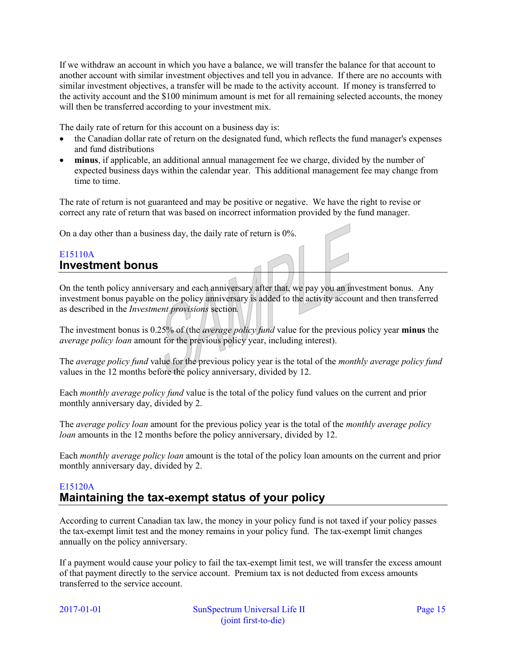If we withdraw an account in which you have a balance, we will transfer the balance for that account to another account with similar investment objectives and tell you in advance. If there are no accounts with similar investment objectives, a transfer will be made to the activity account. If money is transferred to the activity account and the \$100 minimum amount is met for all remaining selected accounts, the money will then be transferred according to your investment mix.

The daily rate of return for this account on a business day is:

- the Canadian dollar rate of return on the designated fund, which reflects the fund manager's expenses and fund distributions
- **minus**, if applicable, an additional annual management fee we charge, divided by the number of expected business days within the calendar year. This additional management fee may change from time to time.

The rate of return is not guaranteed and may be positive or negative. We have the right to revise or correct any rate of return that was based on incorrect information provided by the fund manager.

On a day other than a business day, the daily rate of return is 0%.

## E15110A **Investment bonus**

On the tenth policy anniversary and each anniversary after that, we pay you an investment bonus. Any investment bonus payable on the policy anniversary is added to the activity account and then transferred as described in the *Investment provisions* section*.*

The investment bonus is 0.25% of (the *average policy fund* value for the previous policy year **minus** the *average policy loan* amount for the previous policy year, including interest).

The *average policy fund* value for the previous policy year is the total of the *monthly average policy fund* values in the 12 months before the policy anniversary, divided by 12.

Each *monthly average policy fund* value is the total of the policy fund values on the current and prior monthly anniversary day, divided by 2.

The *average policy loan* amount for the previous policy year is the total of the *monthly average policy loan* amounts in the 12 months before the policy anniversary, divided by 12.

Each *monthly average policy loan* amount is the total of the policy loan amounts on the current and prior monthly anniversary day, divided by 2.

## E15120A **Maintaining the tax-exempt status of your policy**

According to current Canadian tax law, the money in your policy fund is not taxed if your policy passes the tax-exempt limit test and the money remains in your policy fund. The tax-exempt limit changes annually on the policy anniversary.

If a payment would cause your policy to fail the tax-exempt limit test, we will transfer the excess amount of that payment directly to the service account. Premium tax is not deducted from excess amounts transferred to the service account.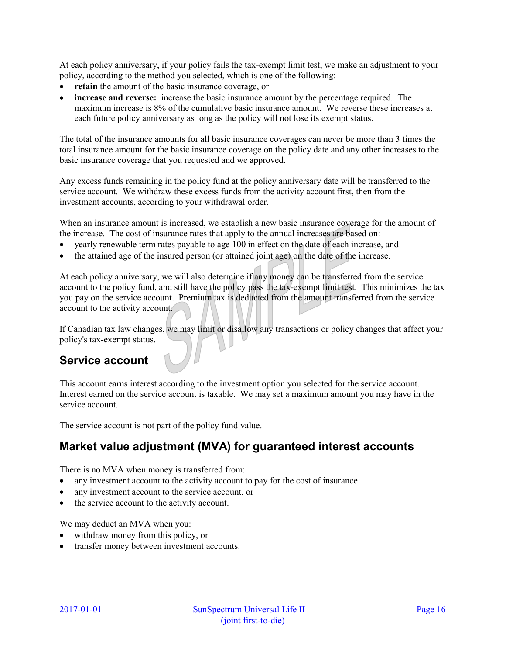At each policy anniversary, if your policy fails the tax-exempt limit test, we make an adjustment to your policy, according to the method you selected, which is one of the following:

- **retain** the amount of the basic insurance coverage, or
- **increase and reverse:** increase the basic insurance amount by the percentage required. The maximum increase is 8% of the cumulative basic insurance amount. We reverse these increases at each future policy anniversary as long as the policy will not lose its exempt status.

The total of the insurance amounts for all basic insurance coverages can never be more than 3 times the total insurance amount for the basic insurance coverage on the policy date and any other increases to the basic insurance coverage that you requested and we approved.

Any excess funds remaining in the policy fund at the policy anniversary date will be transferred to the service account. We withdraw these excess funds from the activity account first, then from the investment accounts, according to your withdrawal order.

When an insurance amount is increased, we establish a new basic insurance coverage for the amount of the increase. The cost of insurance rates that apply to the annual increases are based on:

- yearly renewable term rates payable to age 100 in effect on the date of each increase, and
- the attained age of the insured person (or attained joint age) on the date of the increase.

At each policy anniversary, we will also determine if any money can be transferred from the service account to the policy fund, and still have the policy pass the tax-exempt limit test. This minimizes the tax you pay on the service account. Premium tax is deducted from the amount transferred from the service account to the activity account.

If Canadian tax law changes, we may limit or disallow any transactions or policy changes that affect your policy's tax-exempt status.

# **Service account**

This account earns interest according to the investment option you selected for the service account. Interest earned on the service account is taxable. We may set a maximum amount you may have in the service account.

The service account is not part of the policy fund value.

# **Market value adjustment (MVA) for guaranteed interest accounts**

There is no MVA when money is transferred from:

- any investment account to the activity account to pay for the cost of insurance
- any investment account to the service account, or
- the service account to the activity account.

We may deduct an MVA when you:

- withdraw money from this policy, or
- transfer money between investment accounts.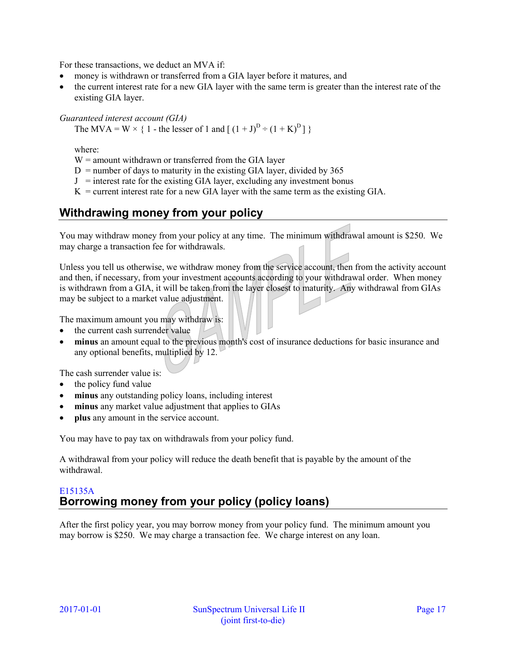For these transactions, we deduct an MVA if:

- money is withdrawn or transferred from a GIA layer before it matures, and
- the current interest rate for a new GIA layer with the same term is greater than the interest rate of the existing GIA layer.

#### *Guaranteed interest account (GIA)*

The MVA = W  $\times$  { 1 - the lesser of 1 and  $[(1 + J)^D \div (1 + K)^D]$ }

where:

 $W =$  amount withdrawn or transferred from the GIA layer

 $D =$  number of days to maturity in the existing GIA layer, divided by 365

 $J =$  interest rate for the existing GIA layer, excluding any investment bonus

 $K =$  current interest rate for a new GIA layer with the same term as the existing GIA.

## **Withdrawing money from your policy**

You may withdraw money from your policy at any time. The minimum withdrawal amount is \$250. We may charge a transaction fee for withdrawals.

Unless you tell us otherwise, we withdraw money from the service account, then from the activity account and then, if necessary, from your investment accounts according to your withdrawal order. When money is withdrawn from a GIA, it will be taken from the layer closest to maturity. Any withdrawal from GIAs may be subject to a market value adjustment.

The maximum amount you may withdraw is:

- the current cash surrender value
- **minus** an amount equal to the previous month's cost of insurance deductions for basic insurance and any optional benefits, multiplied by 12.

The cash surrender value is:

- the policy fund value
- **minus** any outstanding policy loans, including interest
- **minus** any market value adjustment that applies to GIAs
- **plus** any amount in the service account.

You may have to pay tax on withdrawals from your policy fund.

A withdrawal from your policy will reduce the death benefit that is payable by the amount of the withdrawal.

## E15135A **Borrowing money from your policy (policy loans)**

After the first policy year, you may borrow money from your policy fund. The minimum amount you may borrow is \$250. We may charge a transaction fee. We charge interest on any loan.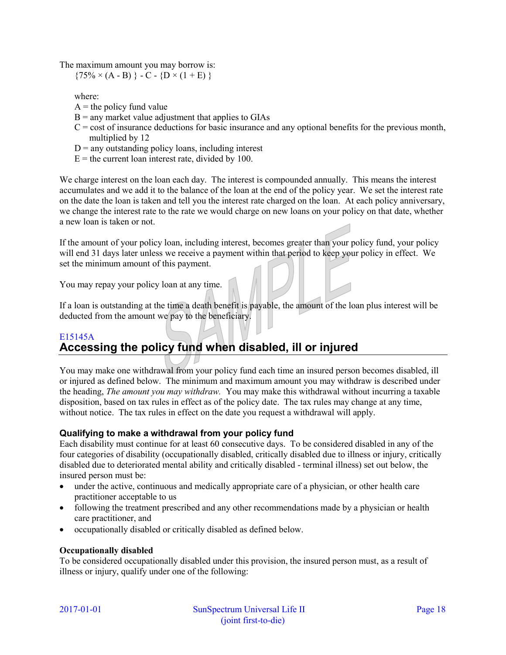The maximum amount you may borrow is:

 ${75\% \times (A - B)} - C - {D \times (1 + E)}$ 

where:

- $A =$  the policy fund value
- $B =$  any market value adjustment that applies to GIAs
- $C = \text{cost of insurance deductions}$  for basic insurance and any optional benefits for the previous month, multiplied by 12
- $D =$  any outstanding policy loans, including interest
- $E =$  the current loan interest rate, divided by 100.

We charge interest on the loan each day. The interest is compounded annually. This means the interest accumulates and we add it to the balance of the loan at the end of the policy year. We set the interest rate on the date the loan is taken and tell you the interest rate charged on the loan. At each policy anniversary, we change the interest rate to the rate we would charge on new loans on your policy on that date, whether a new loan is taken or not.

If the amount of your policy loan, including interest, becomes greater than your policy fund, your policy will end 31 days later unless we receive a payment within that period to keep your policy in effect. We set the minimum amount of this payment.

You may repay your policy loan at any time.

If a loan is outstanding at the time a death benefit is payable, the amount of the loan plus interest will be deducted from the amount we pay to the beneficiary.

## E15145A **Accessing the policy fund when disabled, ill or injured**

You may make one withdrawal from your policy fund each time an insured person becomes disabled, ill or injured as defined below. The minimum and maximum amount you may withdraw is described under the heading, *The amount you may withdraw.* You may make this withdrawal without incurring a taxable disposition, based on tax rules in effect as of the policy date. The tax rules may change at any time, without notice. The tax rules in effect on the date you request a withdrawal will apply.

## **Qualifying to make a withdrawal from your policy fund**

Each disability must continue for at least 60 consecutive days. To be considered disabled in any of the four categories of disability (occupationally disabled, critically disabled due to illness or injury, critically disabled due to deteriorated mental ability and critically disabled - terminal illness) set out below, the insured person must be:

- under the active, continuous and medically appropriate care of a physician, or other health care practitioner acceptable to us
- following the treatment prescribed and any other recommendations made by a physician or health care practitioner, and
- occupationally disabled or critically disabled as defined below.

## **Occupationally disabled**

To be considered occupationally disabled under this provision, the insured person must, as a result of illness or injury, qualify under one of the following: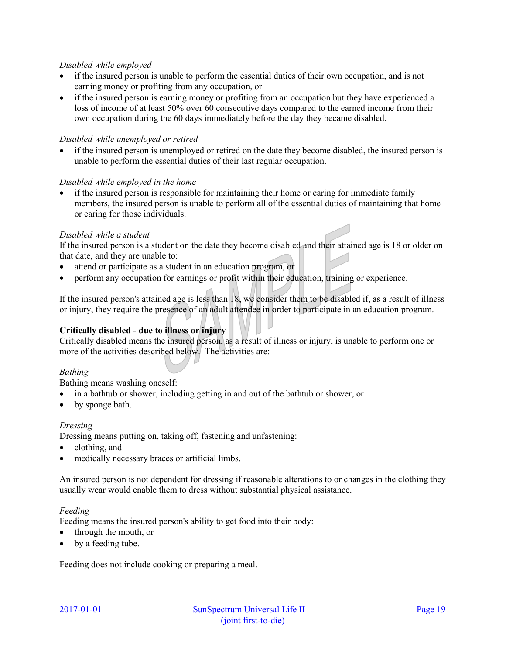#### *Disabled while employed*

- if the insured person is unable to perform the essential duties of their own occupation, and is not earning money or profiting from any occupation, or
- if the insured person is earning money or profiting from an occupation but they have experienced a loss of income of at least 50% over 60 consecutive days compared to the earned income from their own occupation during the 60 days immediately before the day they became disabled.

#### *Disabled while unemployed or retired*

 if the insured person is unemployed or retired on the date they become disabled, the insured person is unable to perform the essential duties of their last regular occupation.

#### *Disabled while employed in the home*

 if the insured person is responsible for maintaining their home or caring for immediate family members, the insured person is unable to perform all of the essential duties of maintaining that home or caring for those individuals.

### *Disabled while a student*

If the insured person is a student on the date they become disabled and their attained age is 18 or older on that date, and they are unable to:

- attend or participate as a student in an education program, or
- perform any occupation for earnings or profit within their education, training or experience.

If the insured person's attained age is less than 18, we consider them to be disabled if, as a result of illness or injury, they require the presence of an adult attendee in order to participate in an education program.

### **Critically disabled - due to illness or injury**

Critically disabled means the insured person, as a result of illness or injury, is unable to perform one or more of the activities described below. The activities are:

#### *Bathing*

Bathing means washing oneself:

- in a bathtub or shower, including getting in and out of the bathtub or shower, or
- by sponge bath.

#### *Dressing*

Dressing means putting on, taking off, fastening and unfastening:

- clothing, and
- medically necessary braces or artificial limbs.

An insured person is not dependent for dressing if reasonable alterations to or changes in the clothing they usually wear would enable them to dress without substantial physical assistance.

#### *Feeding*

Feeding means the insured person's ability to get food into their body:

- through the mouth, or
- by a feeding tube.

Feeding does not include cooking or preparing a meal.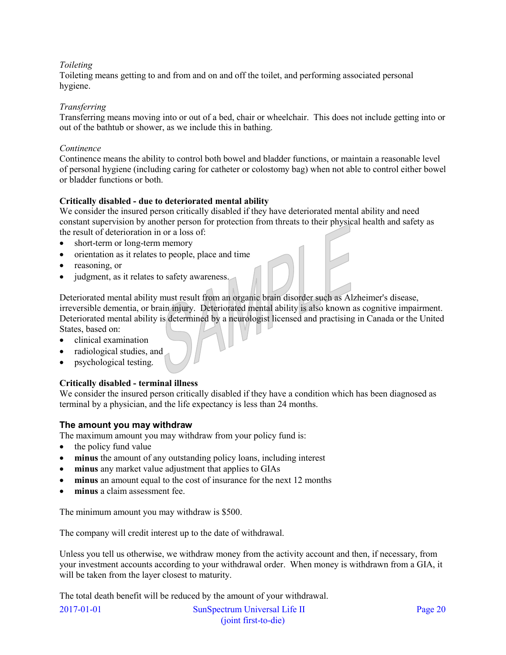### *Toileting*

Toileting means getting to and from and on and off the toilet, and performing associated personal hygiene.

#### *Transferring*

Transferring means moving into or out of a bed, chair or wheelchair. This does not include getting into or out of the bathtub or shower, as we include this in bathing.

#### *Continence*

Continence means the ability to control both bowel and bladder functions, or maintain a reasonable level of personal hygiene (including caring for catheter or colostomy bag) when not able to control either bowel or bladder functions or both.

#### **Critically disabled - due to deteriorated mental ability**

We consider the insured person critically disabled if they have deteriorated mental ability and need constant supervision by another person for protection from threats to their physical health and safety as the result of deterioration in or a loss of:

- short-term or long-term memory
- orientation as it relates to people, place and time
- reasoning, or
- judgment, as it relates to safety awareness.

Deteriorated mental ability must result from an organic brain disorder such as Alzheimer's disease, irreversible dementia, or brain injury. Deteriorated mental ability is also known as cognitive impairment. Deteriorated mental ability is determined by a neurologist licensed and practising in Canada or the United States, based on:

- clinical examination
- radiological studies, and
- psychological testing.

#### **Critically disabled - terminal illness**

We consider the insured person critically disabled if they have a condition which has been diagnosed as terminal by a physician, and the life expectancy is less than 24 months.

#### **The amount you may withdraw**

The maximum amount you may withdraw from your policy fund is:

- $\bullet$  the policy fund value
- **minus** the amount of any outstanding policy loans, including interest
- **minus** any market value adjustment that applies to GIAs
- **minus** an amount equal to the cost of insurance for the next 12 months
- **minus** a claim assessment fee.

The minimum amount you may withdraw is \$500.

The company will credit interest up to the date of withdrawal.

Unless you tell us otherwise, we withdraw money from the activity account and then, if necessary, from your investment accounts according to your withdrawal order. When money is withdrawn from a GIA, it will be taken from the layer closest to maturity.

The total death benefit will be reduced by the amount of your withdrawal.

| $2017 - 01 - 01$ | SunSpectrum Universal Life II | Page 20 |
|------------------|-------------------------------|---------|
|                  | (joint first-to-die)          |         |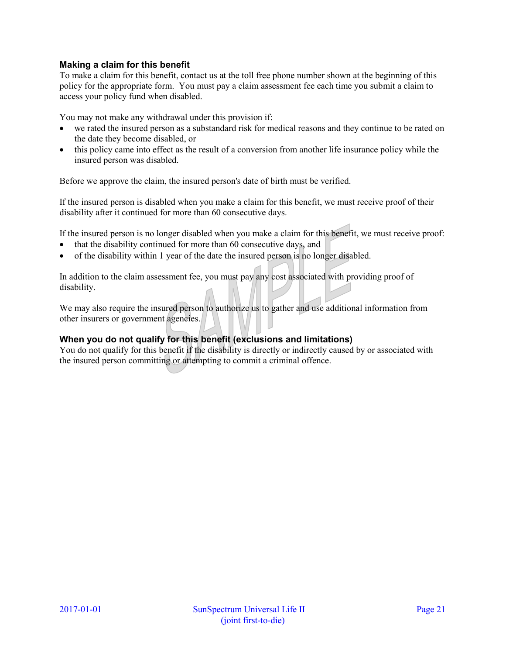## **Making a claim for this benefit**

To make a claim for this benefit, contact us at the toll free phone number shown at the beginning of this policy for the appropriate form. You must pay a claim assessment fee each time you submit a claim to access your policy fund when disabled.

You may not make any withdrawal under this provision if:

- we rated the insured person as a substandard risk for medical reasons and they continue to be rated on the date they become disabled, or
- this policy came into effect as the result of a conversion from another life insurance policy while the insured person was disabled.

Before we approve the claim, the insured person's date of birth must be verified.

If the insured person is disabled when you make a claim for this benefit, we must receive proof of their disability after it continued for more than 60 consecutive days.

If the insured person is no longer disabled when you make a claim for this benefit, we must receive proof:

- that the disability continued for more than 60 consecutive days, and
- of the disability within 1 year of the date the insured person is no longer disabled.

In addition to the claim assessment fee, you must pay any cost associated with providing proof of disability.

We may also require the insured person to authorize us to gather and use additional information from other insurers or government agencies.

## **When you do not qualify for this benefit (exclusions and limitations)**

You do not qualify for this benefit if the disability is directly or indirectly caused by or associated with the insured person committing or attempting to commit a criminal offence.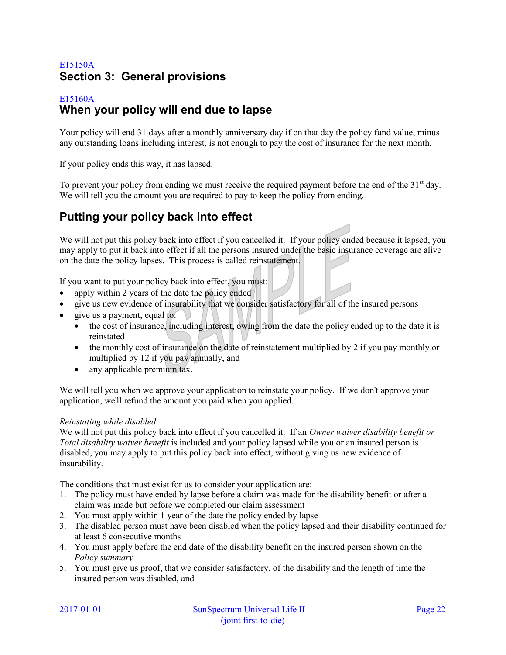## E15150A **Section 3: General provisions**

## E15160A **When your policy will end due to lapse**

Your policy will end 31 days after a monthly anniversary day if on that day the policy fund value, minus any outstanding loans including interest, is not enough to pay the cost of insurance for the next month.

If your policy ends this way, it has lapsed.

To prevent your policy from ending we must receive the required payment before the end of the  $31<sup>st</sup>$  day. We will tell you the amount you are required to pay to keep the policy from ending.

# **Putting your policy back into effect**

We will not put this policy back into effect if you cancelled it. If your policy ended because it lapsed, you may apply to put it back into effect if all the persons insured under the basic insurance coverage are alive on the date the policy lapses. This process is called reinstatement.

If you want to put your policy back into effect, you must:

- apply within 2 years of the date the policy ended
- give us new evidence of insurability that we consider satisfactory for all of the insured persons
- give us a payment, equal to:
	- the cost of insurance, including interest, owing from the date the policy ended up to the date it is reinstated
	- $\bullet$  the monthly cost of insurance on the date of reinstatement multiplied by 2 if you pay monthly or multiplied by 12 if you pay annually, and
	- any applicable premium tax.

We will tell you when we approve your application to reinstate your policy. If we don't approve your application, we'll refund the amount you paid when you applied.

#### *Reinstating while disabled*

We will not put this policy back into effect if you cancelled it. If an *Owner waiver disability benefit or Total disability waiver benefit* is included and your policy lapsed while you or an insured person is disabled, you may apply to put this policy back into effect, without giving us new evidence of insurability.

The conditions that must exist for us to consider your application are:

- 1. The policy must have ended by lapse before a claim was made for the disability benefit or after a claim was made but before we completed our claim assessment
- 2. You must apply within 1 year of the date the policy ended by lapse
- 3. The disabled person must have been disabled when the policy lapsed and their disability continued for at least 6 consecutive months
- 4. You must apply before the end date of the disability benefit on the insured person shown on the *Policy summary*
- 5. You must give us proof, that we consider satisfactory, of the disability and the length of time the insured person was disabled, and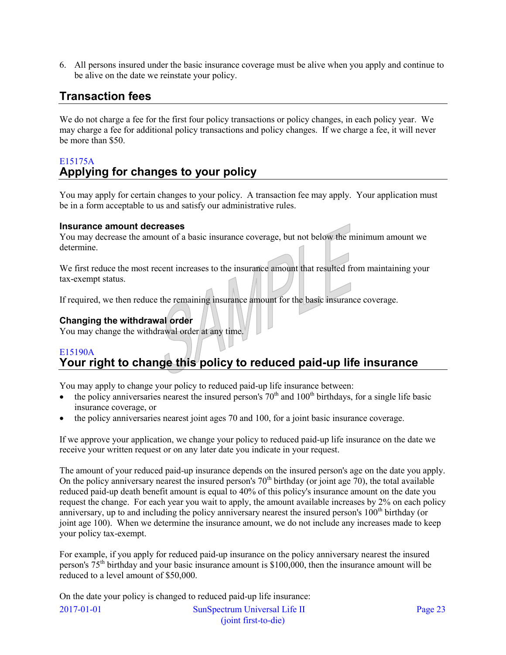6. All persons insured under the basic insurance coverage must be alive when you apply and continue to be alive on the date we reinstate your policy.

# **Transaction fees**

We do not charge a fee for the first four policy transactions or policy changes, in each policy year. We may charge a fee for additional policy transactions and policy changes. If we charge a fee, it will never be more than \$50.

## E15175A **Applying for changes to your policy**

You may apply for certain changes to your policy. A transaction fee may apply. Your application must be in a form acceptable to us and satisfy our administrative rules.

#### **Insurance amount decreases**

You may decrease the amount of a basic insurance coverage, but not below the minimum amount we determine.

We first reduce the most recent increases to the insurance amount that resulted from maintaining your tax-exempt status.

If required, we then reduce the remaining insurance amount for the basic insurance coverage.

## **Changing the withdrawal order**

You may change the withdrawal order at any time.

## E15190A **Your right to change this policy to reduced paid-up life insurance**

You may apply to change your policy to reduced paid-up life insurance between:

- $\bullet$  the policy anniversaries nearest the insured person's  $70<sup>th</sup>$  and  $100<sup>th</sup>$  birthdays, for a single life basic insurance coverage, or
- the policy anniversaries nearest joint ages 70 and 100, for a joint basic insurance coverage.

If we approve your application, we change your policy to reduced paid-up life insurance on the date we receive your written request or on any later date you indicate in your request.

The amount of your reduced paid-up insurance depends on the insured person's age on the date you apply. On the policy anniversary nearest the insured person's  $70<sup>th</sup>$  birthday (or joint age 70), the total available reduced paid-up death benefit amount is equal to 40% of this policy's insurance amount on the date you request the change. For each year you wait to apply, the amount available increases by 2% on each policy anniversary, up to and including the policy anniversary nearest the insured person's  $100<sup>th</sup>$  birthday (or joint age 100). When we determine the insurance amount, we do not include any increases made to keep your policy tax-exempt.

For example, if you apply for reduced paid-up insurance on the policy anniversary nearest the insured person's 75th birthday and your basic insurance amount is \$100,000, then the insurance amount will be reduced to a level amount of \$50,000.

On the date your policy is changed to reduced paid-up life insurance:

| $2017 - 01 - 01$ | SunSpectrum Universal Life II | Page 23 |
|------------------|-------------------------------|---------|
|                  | (joint first-to-die)          |         |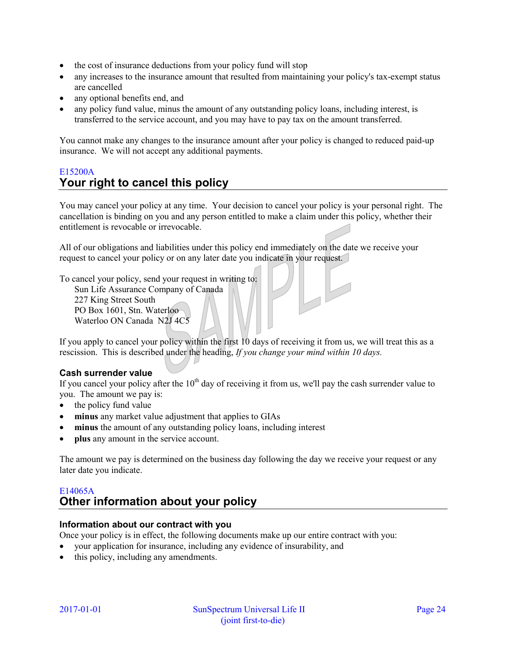- the cost of insurance deductions from your policy fund will stop
- any increases to the insurance amount that resulted from maintaining your policy's tax-exempt status are cancelled
- any optional benefits end, and
- any policy fund value, minus the amount of any outstanding policy loans, including interest, is transferred to the service account, and you may have to pay tax on the amount transferred.

You cannot make any changes to the insurance amount after your policy is changed to reduced paid-up insurance. We will not accept any additional payments.

## E15200A **Your right to cancel this policy**

You may cancel your policy at any time. Your decision to cancel your policy is your personal right. The cancellation is binding on you and any person entitled to make a claim under this policy, whether their entitlement is revocable or irrevocable.

All of our obligations and liabilities under this policy end immediately on the date we receive your request to cancel your policy or on any later date you indicate in your request.

To cancel your policy, send your request in writing to:

Sun Life Assurance Company of Canada 227 King Street South PO Box 1601, Stn. Waterloo Waterloo ON Canada N2J 4C5

If you apply to cancel your policy within the first 10 days of receiving it from us, we will treat this as a rescission. This is described under the heading, *If you change your mind within 10 days.*

## **Cash surrender value**

If you cancel your policy after the  $10<sup>th</sup>$  day of receiving it from us, we'll pay the cash surrender value to you. The amount we pay is:

- $\bullet$  the policy fund value
- **minus** any market value adjustment that applies to GIAs
- **minus** the amount of any outstanding policy loans, including interest
- **plus** any amount in the service account.

The amount we pay is determined on the business day following the day we receive your request or any later date you indicate.

## E14065A **Other information about your policy**

## **Information about our contract with you**

Once your policy is in effect, the following documents make up our entire contract with you:

- your application for insurance, including any evidence of insurability, and
- this policy, including any amendments.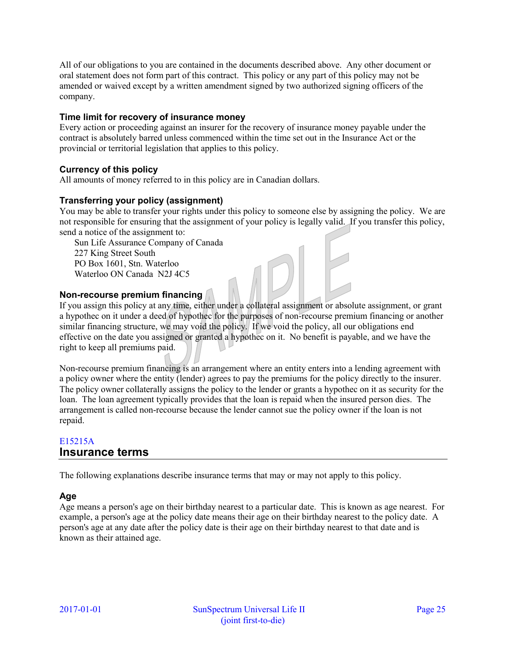All of our obligations to you are contained in the documents described above. Any other document or oral statement does not form part of this contract. This policy or any part of this policy may not be amended or waived except by a written amendment signed by two authorized signing officers of the company.

### **Time limit for recovery of insurance money**

Every action or proceeding against an insurer for the recovery of insurance money payable under the contract is absolutely barred unless commenced within the time set out in the Insurance Act or the provincial or territorial legislation that applies to this policy.

## **Currency of this policy**

All amounts of money referred to in this policy are in Canadian dollars.

## **Transferring your policy (assignment)**

You may be able to transfer your rights under this policy to someone else by assigning the policy. We are not responsible for ensuring that the assignment of your policy is legally valid. If you transfer this policy, send a notice of the assignment to:

Sun Life Assurance Company of Canada 227 King Street South PO Box 1601, Stn. Waterloo Waterloo ON Canada N2J 4C5

## **Non-recourse premium financing**

If you assign this policy at any time, either under a collateral assignment or absolute assignment, or grant a hypothec on it under a deed of hypothec for the purposes of non-recourse premium financing or another similar financing structure, we may void the policy. If we void the policy, all our obligations end effective on the date you assigned or granted a hypothec on it. No benefit is payable, and we have the right to keep all premiums paid.

Non-recourse premium financing is an arrangement where an entity enters into a lending agreement with a policy owner where the entity (lender) agrees to pay the premiums for the policy directly to the insurer. The policy owner collaterally assigns the policy to the lender or grants a hypothec on it as security for the loan. The loan agreement typically provides that the loan is repaid when the insured person dies. The arrangement is called non-recourse because the lender cannot sue the policy owner if the loan is not repaid.

## E15215A **Insurance terms**

The following explanations describe insurance terms that may or may not apply to this policy.

## **Age**

Age means a person's age on their birthday nearest to a particular date. This is known as age nearest. For example, a person's age at the policy date means their age on their birthday nearest to the policy date. A person's age at any date after the policy date is their age on their birthday nearest to that date and is known as their attained age.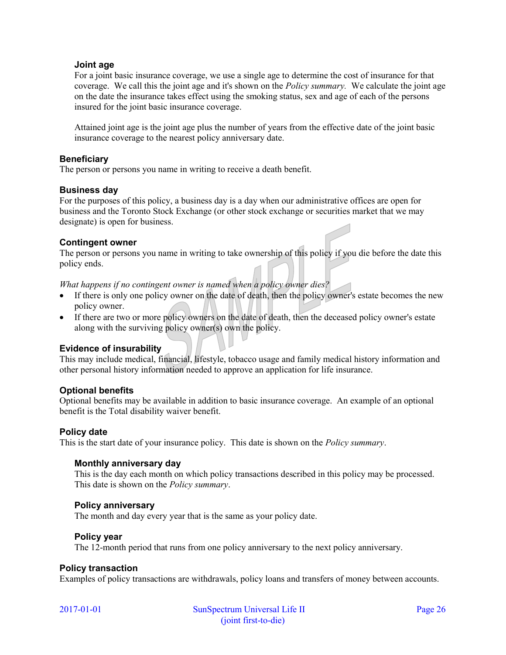### **Joint age**

For a joint basic insurance coverage, we use a single age to determine the cost of insurance for that coverage. We call this the joint age and it's shown on the *Policy summary.* We calculate the joint age on the date the insurance takes effect using the smoking status, sex and age of each of the persons insured for the joint basic insurance coverage.

Attained joint age is the joint age plus the number of years from the effective date of the joint basic insurance coverage to the nearest policy anniversary date.

#### **Beneficiary**

The person or persons you name in writing to receive a death benefit.

#### **Business day**

For the purposes of this policy, a business day is a day when our administrative offices are open for business and the Toronto Stock Exchange (or other stock exchange or securities market that we may designate) is open for business.

#### **Contingent owner**

The person or persons you name in writing to take ownership of this policy if you die before the date this policy ends.

*What happens if no contingent owner is named when a policy owner dies?*

- If there is only one policy owner on the date of death, then the policy owner's estate becomes the new policy owner.
- If there are two or more policy owners on the date of death, then the deceased policy owner's estate along with the surviving policy owner(s) own the policy.

#### **Evidence of insurability**

This may include medical, financial, lifestyle, tobacco usage and family medical history information and other personal history information needed to approve an application for life insurance.

#### **Optional benefits**

Optional benefits may be available in addition to basic insurance coverage. An example of an optional benefit is the Total disability waiver benefit.

#### **Policy date**

This is the start date of your insurance policy. This date is shown on the *Policy summary*.

#### **Monthly anniversary day**

This is the day each month on which policy transactions described in this policy may be processed. This date is shown on the *Policy summary*.

#### **Policy anniversary**

The month and day every year that is the same as your policy date.

#### **Policy year**

The 12-month period that runs from one policy anniversary to the next policy anniversary.

#### **Policy transaction**

Examples of policy transactions are withdrawals, policy loans and transfers of money between accounts.

2017-01-01 SunSpectrum Universal Life II Page 26 (joint first-to-die)